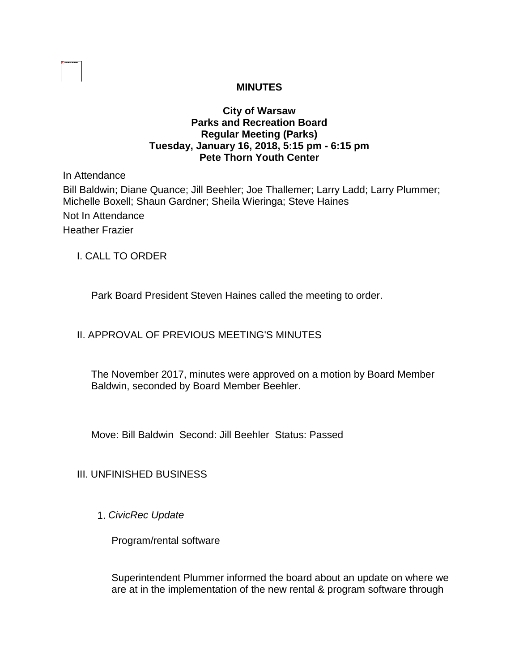# **MINUTES**

### **City of Warsaw Parks and Recreation Board Regular Meeting (Parks) Tuesday, January 16, 2018, 5:15 pm - 6:15 pm Pete Thorn Youth Center**

In Attendance

Bill Baldwin; Diane Quance; Jill Beehler; Joe Thallemer; Larry Ladd; Larry Plummer; Michelle Boxell; Shaun Gardner; Sheila Wieringa; Steve Haines Not In Attendance Heather Frazier

I. CALL TO ORDER

Park Board President Steven Haines called the meeting to order.

## II. APPROVAL OF PREVIOUS MEETING'S MINUTES

The November 2017, minutes were approved on a motion by Board Member Baldwin, seconded by Board Member Beehler.

Move: Bill Baldwin Second: Jill Beehler Status: Passed

## III. UNFINISHED BUSINESS

1. *CivicRec Update*

Program/rental software

Superintendent Plummer informed the board about an update on where we are at in the implementation of the new rental & program software through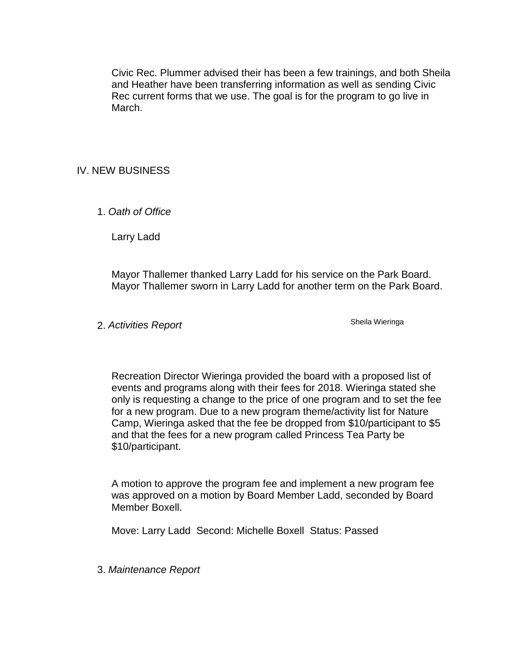Civic Rec. Plummer advised their has been a few trainings, and both Sheila and Heather have been transferring information as well as sending Civic Rec current forms that we use. The goal is for the program to go live in March.

## IV. NEW BUSINESS

1. *Oath of Office* 

Larry Ladd

Mayor Thallemer thanked Larry Ladd for his service on the Park Board. Mayor Thallemer sworn in Larry Ladd for another term on the Park Board.

2. Activities Report **Shella** Wieringa

Recreation Director Wieringa provided the board with a proposed list of events and programs along with their fees for 2018. Wieringa stated she only is requesting a change to the price of one program and to set the fee for a new program. Due to a new program theme/activity list for Nature Camp, Wieringa asked that the fee be dropped from \$10/participant to \$5 and that the fees for a new program called Princess Tea Party be \$10/participant.

A motion to approve the program fee and implement a new program fee was approved on a motion by Board Member Ladd, seconded by Board Member Boxell.

Move: Larry Ladd Second: Michelle Boxell Status: Passed

3. *Maintenance Report*